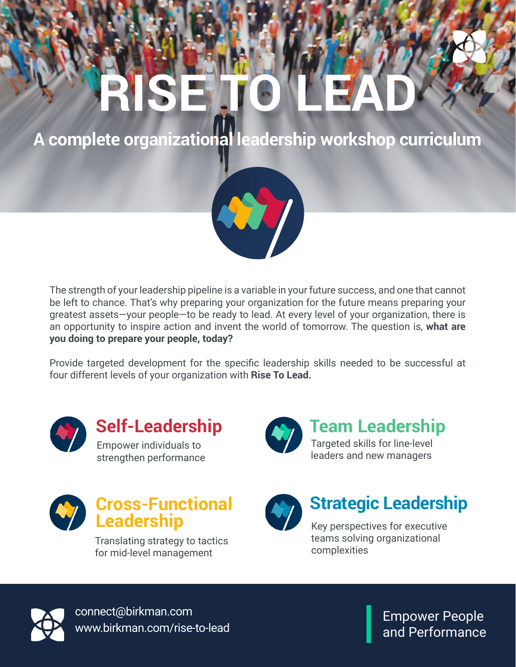# **RISE TO LEAD**

**A complete organizational leadership workshop curriculum**



The strength of your leadership pipeline is a variable in your future success, and one that cannot be left to chance. That's why preparing your organization for the future means preparing your greatest assets—your people—to be ready to lead. At every level of your organization, there is an opportunity to inspire action and invent the world of tomorrow. The question is, **what are you doing to prepare your people, today?**

Provide targeted development for the specific leadership skills needed to be successful at four different levels of your organization with **Rise To Lead.**



## **Self-Leadership** Empower individuals to

strengthen performance



**Cross-Functional Leadership**

Translating strategy to tactics for mid-level management



## **Team Leadership** Targeted skills for line-level

leaders and new managers



## **Strategic Leadership**

Key perspectives for executive teams solving organizational complexities



www.birkman.com/rise-to-lead and Performance connect@birkman.com

Empower People